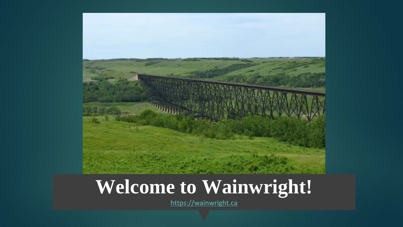

# **Welcome to Wainwright!**

<https://wainwright.ca>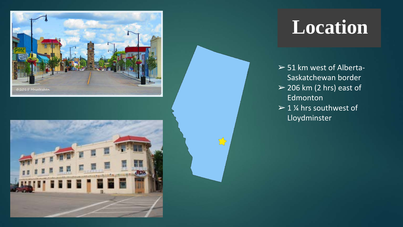



### **Location**

- $>$  51 km west of Alberta-Saskatchewan border
- $>$  206 km (2 hrs) east of Edmonton
- $> 1$  % hrs southwest of Lloydminster

 $\sum$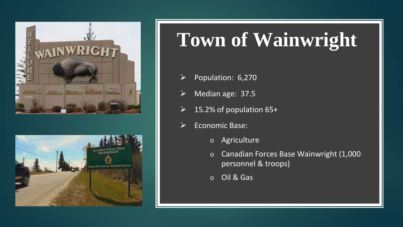



# **Town of Wainwright**

- $\triangleright$  Population: 6,270
- $\triangleright$  Median age: 37.5
- 15.2% of population 65+
- Economic Base:
	- o Agriculture
	- o Canadian Forces Base Wainwright (1,000 personnel & troops)
	- o Oil & Gas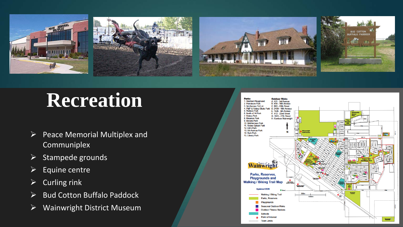

### **Recreation**

- $\triangleright$  Peace Memorial Multiplex and Communiplex
- $\triangleright$  Stampede grounds
- $\triangleright$  Equine centre
- $\triangleright$  Curling rink
- $\triangleright$  Bud Cotton Buffalo Paddock
- Wainwright District Museum

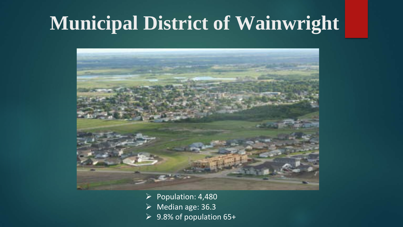### **Municipal District of Wainwright**



 $\triangleright$  Population: 4,480  $\triangleright$  Median age: 36.3 9.8% of population 65+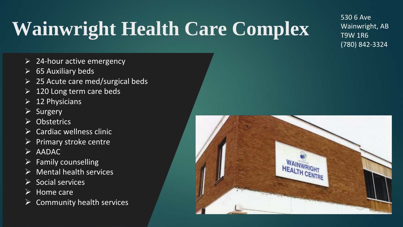# **Wainwright Health Care Complex**

530 6 Ave Wainwright, AB T9W 1R6 (780) 842-3324

- $\geq$  24-hour active emergency
- $\triangleright$  65 Auxiliary beds
- $\geq$  25 Acute care med/surgical beds
- 120 Long term care beds
- $\triangleright$  12 Physicians
- $\triangleright$  Surgery
- **Obstetrics**
- $\triangleright$  Cardiac wellness clinic
- $\triangleright$  Primary stroke centre
- $\triangleright$  AADAC
- $\triangleright$  Family counselling
- $\triangleright$  Mental health services
- Social services
- $\triangleright$  Home care
- Community health services